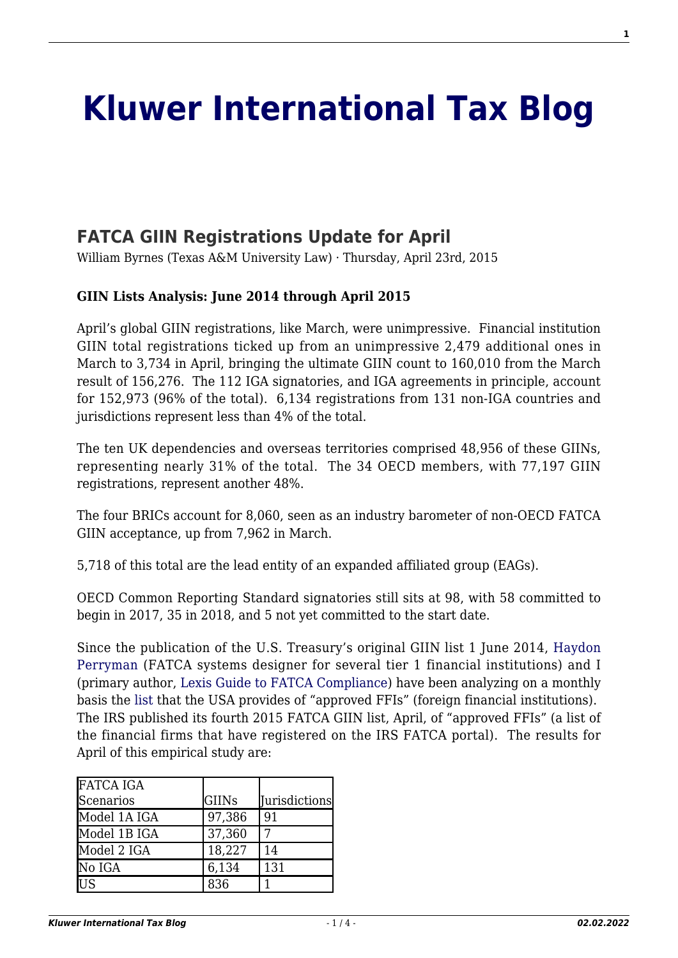# **[Kluwer International Tax Blog](http://kluwertaxblog.com/)**

## **[FATCA GIIN Registrations Update for April](http://kluwertaxblog.com/2015/04/23/fatca-giin-registrations-update-for-april/)**

William Byrnes (Texas A&M University Law) · Thursday, April 23rd, 2015

#### **GIIN Lists Analysis: June 2014 through April 2015**

April's global GIIN registrations, like March, were unimpressive. Financial institution GIIN total registrations ticked up from an unimpressive 2,479 additional ones in March to 3,734 in April, bringing the ultimate GIIN count to 160,010 from the March result of 156,276. The 112 IGA signatories, and IGA agreements in principle, account for 152,973 (96% of the total). 6,134 registrations from 131 non-IGA countries and jurisdictions represent less than 4% of the total.

The ten UK dependencies and overseas territories comprised 48,956 of these GIINs, representing nearly 31% of the total. The 34 OECD members, with 77,197 GIIN registrations, represent another 48%.

The four BRICs account for 8,060, seen as an industry barometer of non-OECD FATCA GIIN acceptance, up from 7,962 in March.

5,718 of this total are the lead entity of an expanded affiliated group (EAGs).

OECD Common Reporting Standard signatories still sits at 98, with 58 committed to begin in 2017, 35 in 2018, and 5 not yet committed to the start date.

Since the publication of the U.S. Treasury's original GIIN list 1 June 2014, [Haydon](http://haydonperryman.com/author/haydonperryman/) [Perryman](http://haydonperryman.com/author/haydonperryman/) (FATCA systems designer for several tier 1 financial institutions) and I (primary author, [Lexis Guide to FATCA Compliance](http://www.lexisnexis.com/store/catalog/booktemplate/productdetail.jsp?pageName=relatedProducts&prodId=prod19190327)) have been analyzing on a monthly basis the [list](http://apps.irs.gov/app/fatcaFfiList/flu.jsf) that the USA provides of "approved FFIs" (foreign financial institutions). The IRS published its fourth 2015 FATCA GIIN list, April, of "approved FFIs" (a list of the financial firms that have registered on the IRS FATCA portal). The results for April of this empirical study are:

| <b>FATCA IGA</b> |        |                      |
|------------------|--------|----------------------|
| Scenarios        | GIINs  | <b>Jurisdictions</b> |
| Model 1A IGA     | 97,386 | 91                   |
| Model 1B IGA     | 37,360 |                      |
| Model 2 IGA      | 18,227 | 14                   |
| No IGA           | 6,134  | 131                  |
| US               | 836    |                      |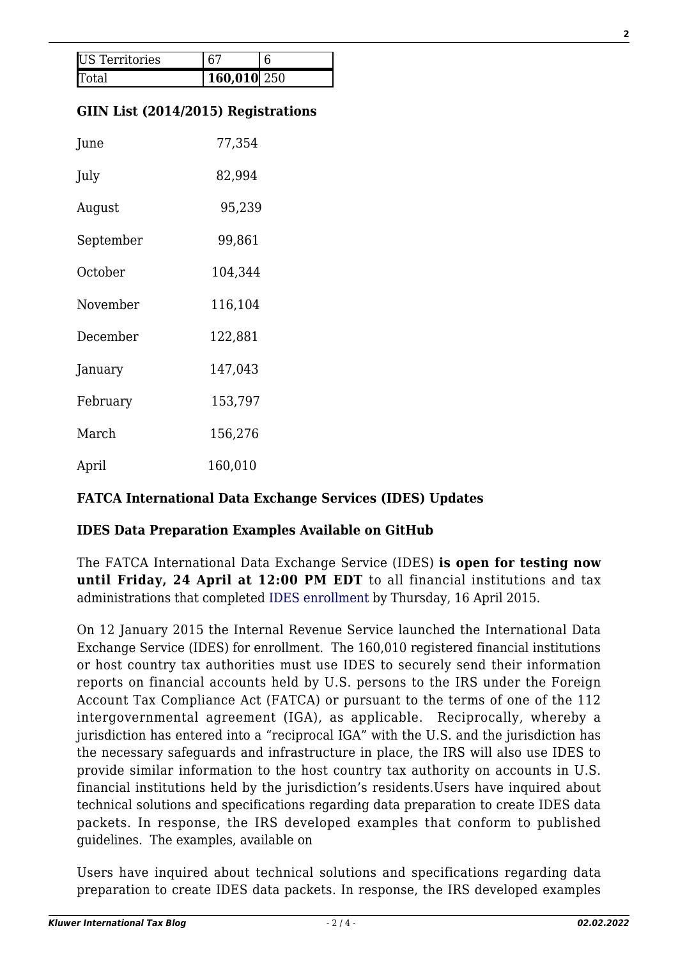| <b>US</b> Territories |             |  |
|-----------------------|-------------|--|
|                       | 160,010 250 |  |

#### **GIIN List (2014/2015) Registrations**

| June      | 77,354  |  |
|-----------|---------|--|
| July      | 82,994  |  |
| August    | 95,239  |  |
| September | 99,861  |  |
| October   | 104,344 |  |
| November  | 116,104 |  |
| December  | 122,881 |  |
| January   | 147,043 |  |
| February  | 153,797 |  |
| March     | 156,276 |  |
| April     | 160,010 |  |

#### **FATCA International Data Exchange Services (IDES) Updates**

#### **IDES Data Preparation Examples Available on GitHub**

The FATCA International Data Exchange Service (IDES) **is open for testing now until Friday, 24 April at 12:00 PM EDT** to all financial institutions and tax administrations that completed [IDES enrollment](http://links.govdelivery.com/track?type=click&enid=ZWFzPTEmbWFpbGluZ2lkPTIwMTUwNDE1LjQ0MTMzMjQxJm1lc3NhZ2VpZD1NREItUFJELUJVTC0yMDE1MDQxNS40NDEzMzI0MSZkYXRhYmFzZWlkPTEwMDEmc2VyaWFsPTE2OTk4NjcxJmVtYWlsaWQ9d2J5cm5lc0B0anNsLmVkdSZ1c2VyaWQ9d2J5cm5lc0B0anNsLmVkdSZmbD0mZXh0cmE9TXVsdGl2YXJpYXRlSWQ9JiYm&&&118&&&https://www.ides-support.com/) by Thursday, 16 April 2015.

On 12 January 2015 the Internal Revenue Service launched the International Data Exchange Service (IDES) for enrollment. The 160,010 registered financial institutions or host country tax authorities must use IDES to securely send their information reports on financial accounts held by U.S. persons to the IRS under the Foreign Account Tax Compliance Act (FATCA) or pursuant to the terms of one of the 112 intergovernmental agreement (IGA), as applicable. Reciprocally, whereby a jurisdiction has entered into a "reciprocal IGA" with the U.S. and the jurisdiction has the necessary safeguards and infrastructure in place, the IRS will also use IDES to provide similar information to the host country tax authority on accounts in U.S. financial institutions held by the jurisdiction's residents.Users have inquired about technical solutions and specifications regarding data preparation to create IDES data packets. In response, the IRS developed examples that conform to published guidelines. The examples, available on

Users have inquired about technical solutions and specifications regarding data preparation to create IDES data packets. In response, the IRS developed examples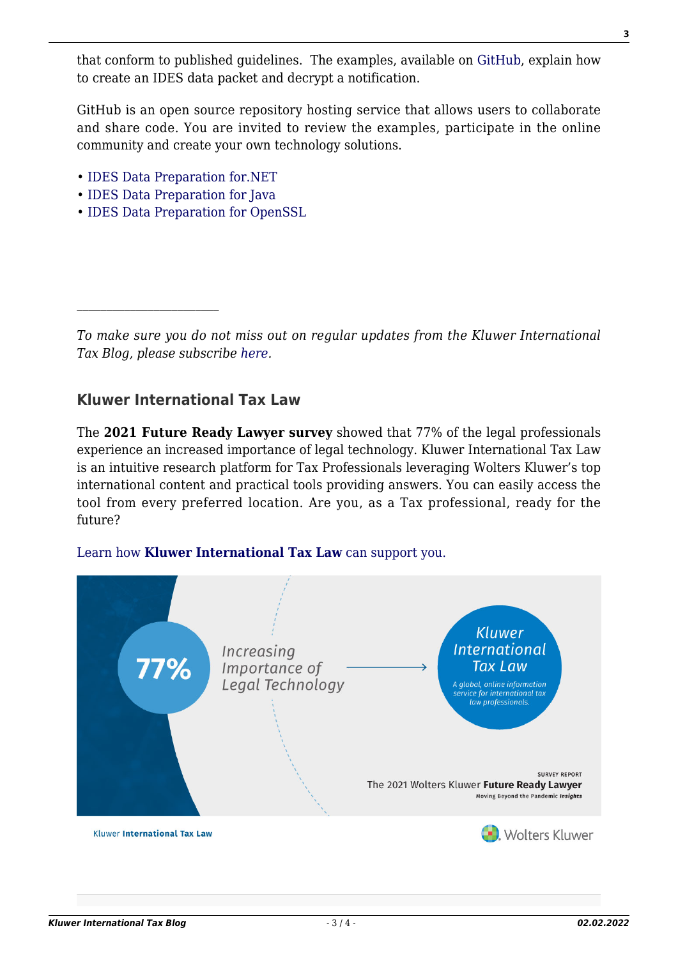that conform to published guidelines. The examples, available on [GitHub,](http://links.govdelivery.com/track?type=click&enid=ZWFzPTEmbWFpbGluZ2lkPTIwMTUwNDIwLjQ0Mjg0ODUxJm1lc3NhZ2VpZD1NREItUFJELUJVTC0yMDE1MDQyMC40NDI4NDg1MSZkYXRhYmFzZWlkPTEwMDEmc2VyaWFsPTE3MDAwMDkxJmVtYWlsaWQ9d2J5cm5lc0B0anNsLmVkdSZ1c2VyaWQ9d2J5cm5lc0B0anNsLmVkdSZmbD0mZXh0cmE9TXVsdGl2YXJpYXRlSWQ9JiYm&&&122&&&https://github.com/IRSgov) explain how to create an IDES data packet and decrypt a notification.

GitHub is an open source repository hosting service that allows users to collaborate and share code. You are invited to review the examples, participate in the online community and create your own technology solutions.

- [IDES Data Preparation for.NET](http://links.govdelivery.com/track?type=click&enid=ZWFzPTEmbWFpbGluZ2lkPTIwMTUwNDIwLjQ0Mjg0ODUxJm1lc3NhZ2VpZD1NREItUFJELUJVTC0yMDE1MDQyMC40NDI4NDg1MSZkYXRhYmFzZWlkPTEwMDEmc2VyaWFsPTE3MDAwMDkxJmVtYWlsaWQ9d2J5cm5lc0B0anNsLmVkdSZ1c2VyaWQ9d2J5cm5lc0B0anNsLmVkdSZmbD0mZXh0cmE9TXVsdGl2YXJpYXRlSWQ9JiYm&&&123&&&http://irsgov.github.io/IDES-Data-Preparation-Dot-Net)
- [IDES Data Preparation for Java](http://links.govdelivery.com/track?type=click&enid=ZWFzPTEmbWFpbGluZ2lkPTIwMTUwNDIwLjQ0Mjg0ODUxJm1lc3NhZ2VpZD1NREItUFJELUJVTC0yMDE1MDQyMC40NDI4NDg1MSZkYXRhYmFzZWlkPTEwMDEmc2VyaWFsPTE3MDAwMDkxJmVtYWlsaWQ9d2J5cm5lc0B0anNsLmVkdSZ1c2VyaWQ9d2J5cm5lc0B0anNsLmVkdSZmbD0mZXh0cmE9TXVsdGl2YXJpYXRlSWQ9JiYm&&&124&&&http://irsgov.github.io/IDES-Data-Preparation-Java)
- [IDES Data Preparation for OpenSSL](http://links.govdelivery.com/track?type=click&enid=ZWFzPTEmbWFpbGluZ2lkPTIwMTUwNDIwLjQ0Mjg0ODUxJm1lc3NhZ2VpZD1NREItUFJELUJVTC0yMDE1MDQyMC40NDI4NDg1MSZkYXRhYmFzZWlkPTEwMDEmc2VyaWFsPTE3MDAwMDkxJmVtYWlsaWQ9d2J5cm5lc0B0anNsLmVkdSZ1c2VyaWQ9d2J5cm5lc0B0anNsLmVkdSZmbD0mZXh0cmE9TXVsdGl2YXJpYXRlSWQ9JiYm&&&125&&&http://irsgov.github.io/IDES-Data-Preparation-OpenSSL/)

*To make sure you do not miss out on regular updates from the Kluwer International Tax Blog, please subscribe [here.](http://kluwertaxblog.com/newsletter/)*

### **Kluwer International Tax Law**

The **2021 Future Ready Lawyer survey** showed that 77% of the legal professionals experience an increased importance of legal technology. Kluwer International Tax Law is an intuitive research platform for Tax Professionals leveraging Wolters Kluwer's top international content and practical tools providing answers. You can easily access the tool from every preferred location. Are you, as a Tax professional, ready for the future?

#### [Learn how](https://www.wolterskluwer.com/en/solutions/kluwertaxlaw?utm_source=kluwertaxblog&utm_medium=articleCTA&utm_campaign=article-banner) **[Kluwer International Tax Law](https://www.wolterskluwer.com/en/solutions/kluwertaxlaw?utm_source=kluwertaxblog&utm_medium=articleCTA&utm_campaign=article-banner)** [can support you.](https://www.wolterskluwer.com/en/solutions/kluwertaxlaw?utm_source=kluwertaxblog&utm_medium=articleCTA&utm_campaign=article-banner)